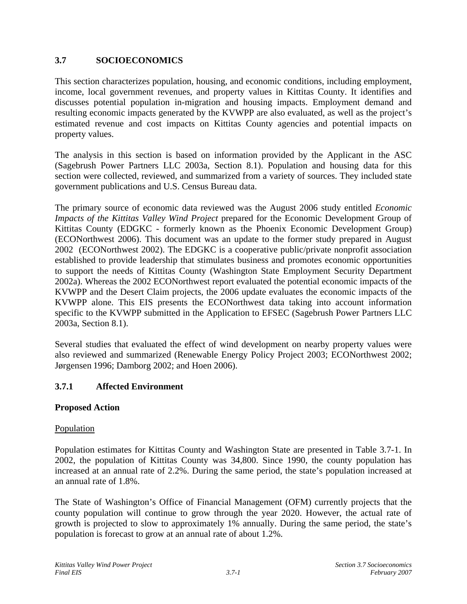# **3.7 SOCIOECONOMICS**

This section characterizes population, housing, and economic conditions, including employment, income, local government revenues, and property values in Kittitas County. It identifies and discusses potential population in-migration and housing impacts. Employment demand and resulting economic impacts generated by the KVWPP are also evaluated, as well as the project's estimated revenue and cost impacts on Kittitas County agencies and potential impacts on property values.

The analysis in this section is based on information provided by the Applicant in the ASC (Sagebrush Power Partners LLC 2003a, Section 8.1). Population and housing data for this section were collected, reviewed, and summarized from a variety of sources. They included state government publications and U.S. Census Bureau data.

The primary source of economic data reviewed was the August 2006 study entitled *Economic Impacts of the Kittitas Valley Wind Project* prepared for the Economic Development Group of Kittitas County (EDGKC - formerly known as the Phoenix Economic Development Group) (ECONorthwest 2006). This document was an update to the former study prepared in August 2002 (ECONorthwest 2002). The EDGKC is a cooperative public/private nonprofit association established to provide leadership that stimulates business and promotes economic opportunities to support the needs of Kittitas County (Washington State Employment Security Department 2002a). Whereas the 2002 ECONorthwest report evaluated the potential economic impacts of the KVWPP and the Desert Claim projects, the 2006 update evaluates the economic impacts of the KVWPP alone. This EIS presents the ECONorthwest data taking into account information specific to the KVWPP submitted in the Application to EFSEC (Sagebrush Power Partners LLC 2003a, Section 8.1).

Several studies that evaluated the effect of wind development on nearby property values were also reviewed and summarized (Renewable Energy Policy Project 2003; ECONorthwest 2002; Jørgensen 1996; Damborg 2002; and Hoen 2006).

# **3.7.1 Affected Environment**

# **Proposed Action**

# Population

Population estimates for Kittitas County and Washington State are presented in Table 3.7-1. In 2002, the population of Kittitas County was 34,800. Since 1990, the county population has increased at an annual rate of 2.2%. During the same period, the state's population increased at an annual rate of 1.8%.

The State of Washington's Office of Financial Management (OFM) currently projects that the county population will continue to grow through the year 2020. However, the actual rate of growth is projected to slow to approximately 1% annually. During the same period, the state's population is forecast to grow at an annual rate of about 1.2%.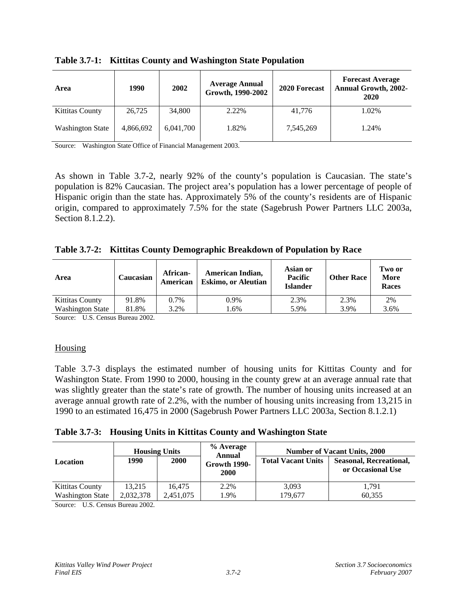| Area                    | 1990      | 2002      | <b>Average Annual</b><br>Growth, 1990-2002 | 2020 Forecast | <b>Forecast Average</b><br><b>Annual Growth, 2002-</b><br>2020 |
|-------------------------|-----------|-----------|--------------------------------------------|---------------|----------------------------------------------------------------|
| <b>Kittitas County</b>  | 26,725    | 34,800    | 2.22%                                      | 41,776        | 1.02%                                                          |
| <b>Washington State</b> | 4,866,692 | 6,041,700 | 1.82%                                      | 7,545,269     | 1.24%                                                          |

**Table 3.7-1: Kittitas County and Washington State Population** 

Source: Washington State Office of Financial Management 2003.

As shown in Table 3.7-2, nearly 92% of the county's population is Caucasian. The state's population is 82% Caucasian. The project area's population has a lower percentage of people of Hispanic origin than the state has. Approximately 5% of the county's residents are of Hispanic origin, compared to approximately 7.5% for the state (Sagebrush Power Partners LLC 2003a, Section 8.1.2.2).

|  |  | Table 3.7-2: Kittitas County Demographic Breakdown of Population by Race |
|--|--|--------------------------------------------------------------------------|
|  |  |                                                                          |

| Area                    | Caucasian | African-<br>American | American Indian,<br><b>Eskimo, or Aleutian</b> | Asian or<br><b>Pacific</b><br><b>Islander</b> | <b>Other Race</b> | Two or<br>More<br>Races |
|-------------------------|-----------|----------------------|------------------------------------------------|-----------------------------------------------|-------------------|-------------------------|
| <b>Kittitas County</b>  | 91.8%     | 0.7%                 | 0.9%                                           | 2.3%                                          | 2.3%              | 2%                      |
| <b>Washington State</b> | 81.8%     | 3.2%                 | .6%                                            | 5.9%                                          | 3.9%              | 3.6%                    |

Source: U.S. Census Bureau 2002.

### **Housing**

Table 3.7-3 displays the estimated number of housing units for Kittitas County and for Washington State. From 1990 to 2000, housing in the county grew at an average annual rate that was slightly greater than the state's rate of growth. The number of housing units increased at an average annual growth rate of 2.2%, with the number of housing units increasing from 13,215 in 1990 to an estimated 16,475 in 2000 (Sagebrush Power Partners LLC 2003a, Section 8.1.2.1)

### **Table 3.7-3: Housing Units in Kittitas County and Washington State**

| Location                | 1990      | <b>Housing Units</b><br><b>2000</b> | % Average<br>Annual<br>Growth 1990-<br><b>2000</b> | <b>Total Vacant Units</b> | <b>Number of Vacant Units, 2000</b><br><b>Seasonal, Recreational,</b><br>or Occasional Use |
|-------------------------|-----------|-------------------------------------|----------------------------------------------------|---------------------------|--------------------------------------------------------------------------------------------|
| Kittitas County         | 13.215    | 16.475                              | 2.2%                                               | 3,093                     | 1,791                                                                                      |
| <b>Washington State</b> | 2.032.378 | 2,451,075                           | 1.9%                                               | 179,677                   | 60.355                                                                                     |

Source: U.S. Census Bureau 2002.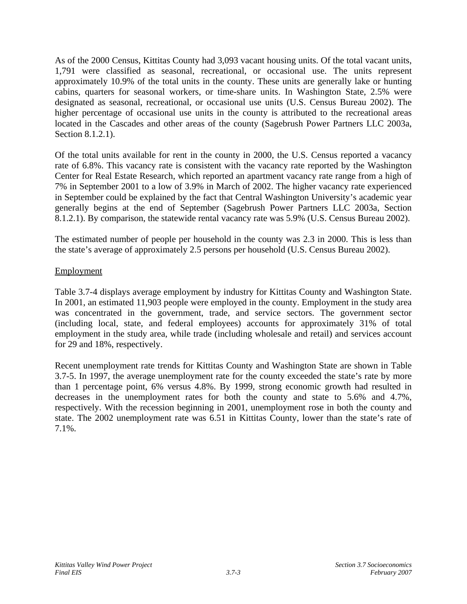As of the 2000 Census, Kittitas County had 3,093 vacant housing units. Of the total vacant units, 1,791 were classified as seasonal, recreational, or occasional use. The units represent approximately 10.9% of the total units in the county. These units are generally lake or hunting cabins, quarters for seasonal workers, or time-share units. In Washington State, 2.5% were designated as seasonal, recreational, or occasional use units (U.S. Census Bureau 2002). The higher percentage of occasional use units in the county is attributed to the recreational areas located in the Cascades and other areas of the county (Sagebrush Power Partners LLC 2003a, Section 8.1.2.1).

Of the total units available for rent in the county in 2000, the U.S. Census reported a vacancy rate of 6.8%. This vacancy rate is consistent with the vacancy rate reported by the Washington Center for Real Estate Research, which reported an apartment vacancy rate range from a high of 7% in September 2001 to a low of 3.9% in March of 2002. The higher vacancy rate experienced in September could be explained by the fact that Central Washington University's academic year generally begins at the end of September (Sagebrush Power Partners LLC 2003a, Section 8.1.2.1). By comparison, the statewide rental vacancy rate was 5.9% (U.S. Census Bureau 2002).

The estimated number of people per household in the county was 2.3 in 2000. This is less than the state's average of approximately 2.5 persons per household (U.S. Census Bureau 2002).

### **Employment**

Table 3.7-4 displays average employment by industry for Kittitas County and Washington State. In 2001, an estimated 11,903 people were employed in the county. Employment in the study area was concentrated in the government, trade, and service sectors. The government sector (including local, state, and federal employees) accounts for approximately 31% of total employment in the study area, while trade (including wholesale and retail) and services account for 29 and 18%, respectively.

Recent unemployment rate trends for Kittitas County and Washington State are shown in Table 3.7-5. In 1997, the average unemployment rate for the county exceeded the state's rate by more than 1 percentage point, 6% versus 4.8%. By 1999, strong economic growth had resulted in decreases in the unemployment rates for both the county and state to 5.6% and 4.7%, respectively. With the recession beginning in 2001, unemployment rose in both the county and state. The 2002 unemployment rate was 6.51 in Kittitas County, lower than the state's rate of 7.1%.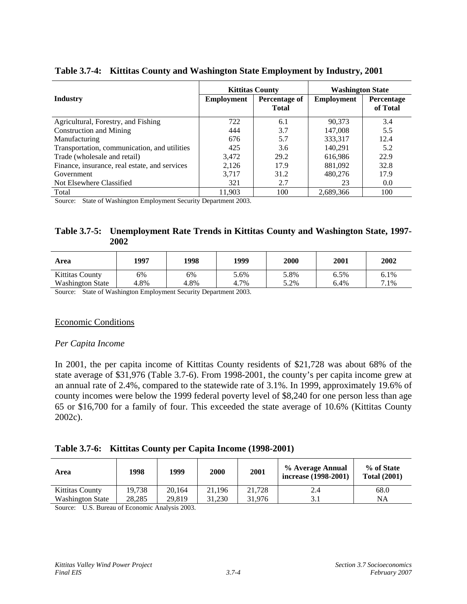|                                               |                   | <b>Kittitas County</b>               | <b>Washington State</b> |                               |
|-----------------------------------------------|-------------------|--------------------------------------|-------------------------|-------------------------------|
| <b>Industry</b>                               | <b>Employment</b> | <b>Percentage of</b><br><b>Total</b> | <b>Employment</b>       | <b>Percentage</b><br>of Total |
| Agricultural, Forestry, and Fishing           | 722               | 6.1                                  | 90.373                  | 3.4                           |
| Construction and Mining                       | 444               | 3.7                                  | 147,008                 | 5.5                           |
| Manufacturing                                 | 676               | 5.7                                  | 333,317                 | 12.4                          |
| Transportation, communication, and utilities  | 425               | 3.6                                  | 140.291                 | 5.2                           |
| Trade (wholesale and retail)                  | 3,472             | 29.2                                 | 616.986                 | 22.9                          |
| Finance, insurance, real estate, and services | 2,126             | 17.9                                 | 881,092                 | 32.8                          |
| Government                                    | 3.717             | 31.2                                 | 480,276                 | 17.9                          |
| Not Elsewhere Classified                      | 321               | 2.7                                  | 23                      | 0.0                           |
| Total                                         | 11.903            | 100                                  | 2,689,366               | 100                           |

**Table 3.7-4: Kittitas County and Washington State Employment by Industry, 2001** 

Source: State of Washington Employment Security Department 2003.

### **Table 3.7-5: Unemployment Rate Trends in Kittitas County and Washington State, 1997- 2002**

| Area                    | 1997 | 1998 | 1999 | 2000 | 2001 | 2002 |
|-------------------------|------|------|------|------|------|------|
| <b>Kittitas County</b>  | 6%   | 6%   | 5.6% | 5.8% | 6.5% | 6.1% |
| <b>Washington State</b> | 4.8% | 4.8% | 4.7% | 5.2% | 6.4% | 7.1% |

Source: State of Washington Employment Security Department 2003.

### Economic Conditions

#### *Per Capita Income*

In 2001, the per capita income of Kittitas County residents of \$21,728 was about 68% of the state average of \$31,976 (Table 3.7-6). From 1998-2001, the county's per capita income grew at an annual rate of 2.4%, compared to the statewide rate of 3.1%. In 1999, approximately 19.6% of county incomes were below the 1999 federal poverty level of \$8,240 for one person less than age 65 or \$16,700 for a family of four. This exceeded the state average of 10.6% (Kittitas County 2002c).

### **Table 3.7-6: Kittitas County per Capita Income (1998-2001)**

| Area                    | 1998          | 1999                 | 2000   | 2001   | % Average Annual<br>increase (1998-2001) | % of State<br><b>Total (2001)</b> |
|-------------------------|---------------|----------------------|--------|--------|------------------------------------------|-----------------------------------|
| Kittitas County         | 19.738        | 20.164               | 21.196 | 21.728 | 2.4                                      | 68.0                              |
| <b>Washington State</b> | 28.285        | 29.819               | 31.230 | 31.976 |                                          | <b>NA</b>                         |
| $\cdots$<br>$\sim$      | $\sim$ $\sim$ | $\sim$ $\sim$ $\sim$ |        |        |                                          |                                   |

Source: U.S. Bureau of Economic Analysis 2003.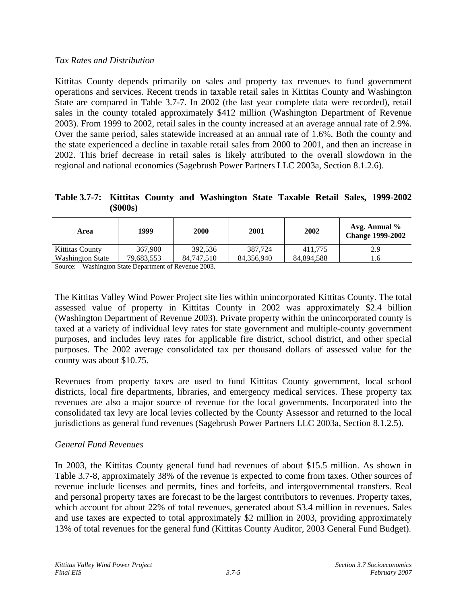# *Tax Rates and Distribution*

Kittitas County depends primarily on sales and property tax revenues to fund government operations and services. Recent trends in taxable retail sales in Kittitas County and Washington State are compared in Table 3.7-7. In 2002 (the last year complete data were recorded), retail sales in the county totaled approximately \$412 million (Washington Department of Revenue 2003). From 1999 to 2002, retail sales in the county increased at an average annual rate of 2.9%. Over the same period, sales statewide increased at an annual rate of 1.6%. Both the county and the state experienced a decline in taxable retail sales from 2000 to 2001, and then an increase in 2002. This brief decrease in retail sales is likely attributed to the overall slowdown in the regional and national economies (Sagebrush Power Partners LLC 2003a, Section 8.1.2.6).

**Table 3.7-7: Kittitas County and Washington State Taxable Retail Sales, 1999-2002 (\$000s)** 

| Area                    | 1999       | 2000       | 2001       | 2002       | Avg. Annual $\%$<br><b>Change 1999-2002</b> |
|-------------------------|------------|------------|------------|------------|---------------------------------------------|
| <b>Kittitas County</b>  | 367,900    | 392.536    | 387.724    | 411.775    | 2.9                                         |
| <b>Washington State</b> | 79.683.553 | 84,747,510 | 84.356.940 | 84.894.588 | 1.6                                         |

Source: Washington State Department of Revenue 2003.

The Kittitas Valley Wind Power Project site lies within unincorporated Kittitas County. The total assessed value of property in Kittitas County in 2002 was approximately \$2.4 billion (Washington Department of Revenue 2003). Private property within the unincorporated county is taxed at a variety of individual levy rates for state government and multiple-county government purposes, and includes levy rates for applicable fire district, school district, and other special purposes. The 2002 average consolidated tax per thousand dollars of assessed value for the county was about \$10.75.

Revenues from property taxes are used to fund Kittitas County government, local school districts, local fire departments, libraries, and emergency medical services. These property tax revenues are also a major source of revenue for the local governments. Incorporated into the consolidated tax levy are local levies collected by the County Assessor and returned to the local jurisdictions as general fund revenues (Sagebrush Power Partners LLC 2003a, Section 8.1.2.5).

# *General Fund Revenues*

In 2003, the Kittitas County general fund had revenues of about \$15.5 million. As shown in Table 3.7-8, approximately 38% of the revenue is expected to come from taxes. Other sources of revenue include licenses and permits, fines and forfeits, and intergovernmental transfers. Real and personal property taxes are forecast to be the largest contributors to revenues. Property taxes, which account for about 22% of total revenues, generated about \$3.4 million in revenues. Sales and use taxes are expected to total approximately \$2 million in 2003, providing approximately 13% of total revenues for the general fund (Kittitas County Auditor, 2003 General Fund Budget).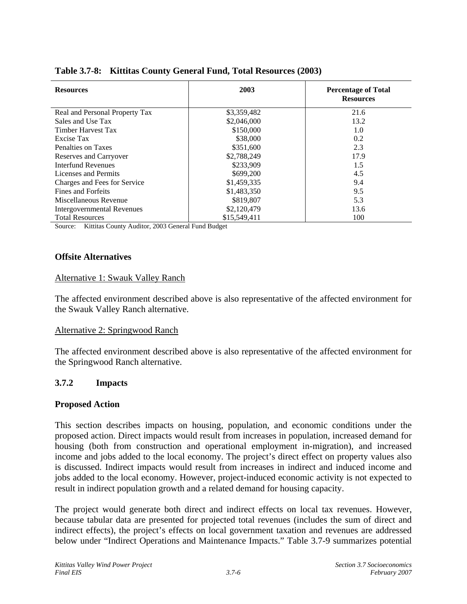| <b>Resources</b>                  | 2003         | <b>Percentage of Total</b><br><b>Resources</b> |
|-----------------------------------|--------------|------------------------------------------------|
| Real and Personal Property Tax    | \$3,359,482  | 21.6                                           |
| Sales and Use Tax                 | \$2,046,000  | 13.2                                           |
| <b>Timber Harvest Tax</b>         | \$150,000    | 1.0                                            |
| Excise Tax                        | \$38,000     | 0.2                                            |
| Penalties on Taxes                | \$351,600    | 2.3                                            |
| Reserves and Carryover            | \$2,788,249  | 17.9                                           |
| <b>Interfund Revenues</b>         | \$233,909    | 1.5                                            |
| Licenses and Permits              | \$699,200    | 4.5                                            |
| Charges and Fees for Service      | \$1,459,335  | 9.4                                            |
| Fines and Forfeits                | \$1,483,350  | 9.5                                            |
| Miscellaneous Revenue             | \$819,807    | 5.3                                            |
| <b>Intergovernmental Revenues</b> | \$2,120,479  | 13.6                                           |
| <b>Total Resources</b>            | \$15,549,411 | 100                                            |

### **Table 3.7-8: Kittitas County General Fund, Total Resources (2003)**

Source: Kittitas County Auditor, 2003 General Fund Budget

#### **Offsite Alternatives**

#### Alternative 1: Swauk Valley Ranch

The affected environment described above is also representative of the affected environment for the Swauk Valley Ranch alternative.

#### Alternative 2: Springwood Ranch

The affected environment described above is also representative of the affected environment for the Springwood Ranch alternative.

### **3.7.2 Impacts**

### **Proposed Action**

This section describes impacts on housing, population, and economic conditions under the proposed action. Direct impacts would result from increases in population, increased demand for housing (both from construction and operational employment in-migration), and increased income and jobs added to the local economy. The project's direct effect on property values also is discussed. Indirect impacts would result from increases in indirect and induced income and jobs added to the local economy. However, project-induced economic activity is not expected to result in indirect population growth and a related demand for housing capacity.

The project would generate both direct and indirect effects on local tax revenues. However, because tabular data are presented for projected total revenues (includes the sum of direct and indirect effects), the project's effects on local government taxation and revenues are addressed below under "Indirect Operations and Maintenance Impacts." Table 3.7-9 summarizes potential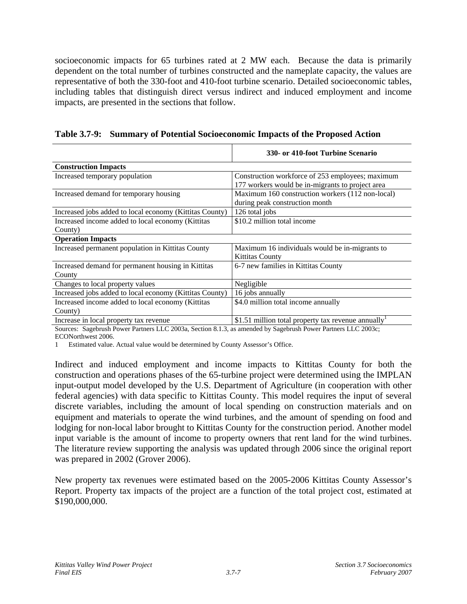socioeconomic impacts for 65 turbines rated at 2 MW each. Because the data is primarily dependent on the total number of turbines constructed and the nameplate capacity, the values are representative of both the 330-foot and 410-foot turbine scenario. Detailed socioeconomic tables, including tables that distinguish direct versus indirect and induced employment and income impacts, are presented in the sections that follow.

**Table 3.7-9: Summary of Potential Socioeconomic Impacts of the Proposed Action** 

|                                                         | 330- or 410-foot Turbine Scenario                  |
|---------------------------------------------------------|----------------------------------------------------|
| <b>Construction Impacts</b>                             |                                                    |
| Increased temporary population                          | Construction workforce of 253 employees; maximum   |
|                                                         | 177 workers would be in-migrants to project area   |
| Increased demand for temporary housing                  | Maximum 160 construction workers (112 non-local)   |
|                                                         | during peak construction month                     |
| Increased jobs added to local economy (Kittitas County) | 126 total jobs                                     |
| Increased income added to local economy (Kittitas       | \$10.2 million total income                        |
| County)                                                 |                                                    |
| <b>Operation Impacts</b>                                |                                                    |
| Increased permanent population in Kittitas County       | Maximum 16 individuals would be in-migrants to     |
|                                                         | <b>Kittitas County</b>                             |
| Increased demand for permanent housing in Kittitas      | 6-7 new families in Kittitas County                |
| County                                                  |                                                    |
| Changes to local property values                        | Negligible                                         |
| Increased jobs added to local economy (Kittitas County) | 16 jobs annually                                   |
| Increased income added to local economy (Kittitas       | \$4.0 million total income annually                |
| County)                                                 |                                                    |
| Increase in local property tax revenue                  | \$1.51 million total property tax revenue annually |

Sources: Sagebrush Power Partners LLC 2003a, Section 8.1.3, as amended by Sagebrush Power Partners LLC 2003c; ECONorthwest 2006.

1 Estimated value. Actual value would be determined by County Assessor's Office.

Indirect and induced employment and income impacts to Kittitas County for both the construction and operations phases of the 65-turbine project were determined using the IMPLAN input-output model developed by the U.S. Department of Agriculture (in cooperation with other federal agencies) with data specific to Kittitas County. This model requires the input of several discrete variables, including the amount of local spending on construction materials and on equipment and materials to operate the wind turbines, and the amount of spending on food and lodging for non-local labor brought to Kittitas County for the construction period. Another model input variable is the amount of income to property owners that rent land for the wind turbines. The literature review supporting the analysis was updated through 2006 since the original report was prepared in 2002 (Grover 2006).

New property tax revenues were estimated based on the 2005-2006 Kittitas County Assessor's Report. Property tax impacts of the project are a function of the total project cost, estimated at \$190,000,000.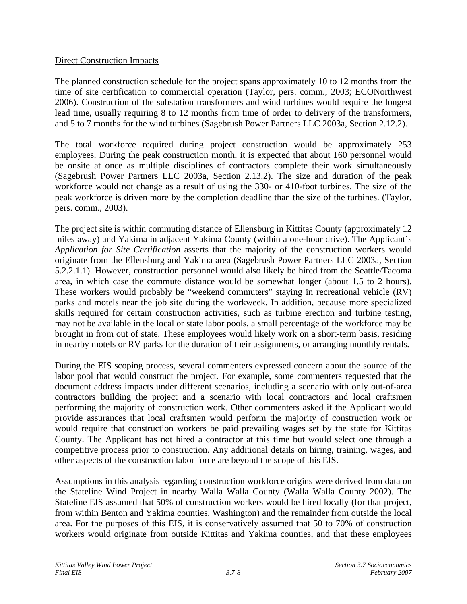### Direct Construction Impacts

The planned construction schedule for the project spans approximately 10 to 12 months from the time of site certification to commercial operation (Taylor, pers. comm., 2003; ECONorthwest 2006). Construction of the substation transformers and wind turbines would require the longest lead time, usually requiring 8 to 12 months from time of order to delivery of the transformers, and 5 to 7 months for the wind turbines (Sagebrush Power Partners LLC 2003a, Section 2.12.2).

The total workforce required during project construction would be approximately 253 employees. During the peak construction month, it is expected that about 160 personnel would be onsite at once as multiple disciplines of contractors complete their work simultaneously (Sagebrush Power Partners LLC 2003a, Section 2.13.2). The size and duration of the peak workforce would not change as a result of using the 330- or 410-foot turbines. The size of the peak workforce is driven more by the completion deadline than the size of the turbines. (Taylor, pers. comm., 2003).

The project site is within commuting distance of Ellensburg in Kittitas County (approximately 12 miles away) and Yakima in adjacent Yakima County (within a one-hour drive). The Applicant's *Application for Site Certification* asserts that the majority of the construction workers would originate from the Ellensburg and Yakima area (Sagebrush Power Partners LLC 2003a, Section 5.2.2.1.1). However, construction personnel would also likely be hired from the Seattle/Tacoma area, in which case the commute distance would be somewhat longer (about 1.5 to 2 hours). These workers would probably be "weekend commuters" staying in recreational vehicle (RV) parks and motels near the job site during the workweek. In addition, because more specialized skills required for certain construction activities, such as turbine erection and turbine testing, may not be available in the local or state labor pools, a small percentage of the workforce may be brought in from out of state. These employees would likely work on a short-term basis, residing in nearby motels or RV parks for the duration of their assignments, or arranging monthly rentals.

During the EIS scoping process, several commenters expressed concern about the source of the labor pool that would construct the project. For example, some commenters requested that the document address impacts under different scenarios, including a scenario with only out-of-area contractors building the project and a scenario with local contractors and local craftsmen performing the majority of construction work. Other commenters asked if the Applicant would provide assurances that local craftsmen would perform the majority of construction work or would require that construction workers be paid prevailing wages set by the state for Kittitas County. The Applicant has not hired a contractor at this time but would select one through a competitive process prior to construction. Any additional details on hiring, training, wages, and other aspects of the construction labor force are beyond the scope of this EIS.

Assumptions in this analysis regarding construction workforce origins were derived from data on the Stateline Wind Project in nearby Walla Walla County (Walla Walla County 2002). The Stateline EIS assumed that 50% of construction workers would be hired locally (for that project, from within Benton and Yakima counties, Washington) and the remainder from outside the local area. For the purposes of this EIS, it is conservatively assumed that 50 to 70% of construction workers would originate from outside Kittitas and Yakima counties, and that these employees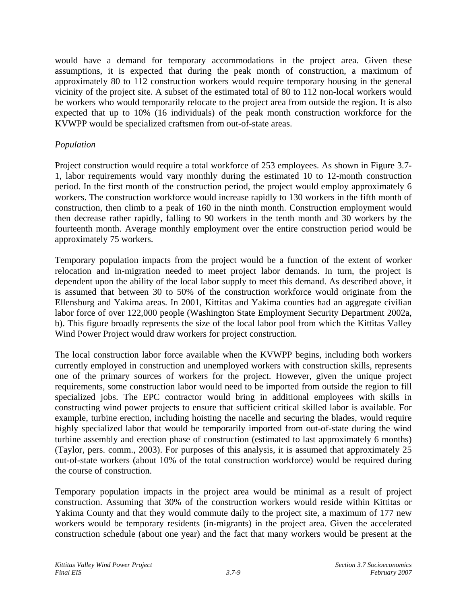would have a demand for temporary accommodations in the project area. Given these assumptions, it is expected that during the peak month of construction, a maximum of approximately 80 to 112 construction workers would require temporary housing in the general vicinity of the project site. A subset of the estimated total of 80 to 112 non-local workers would be workers who would temporarily relocate to the project area from outside the region. It is also expected that up to 10% (16 individuals) of the peak month construction workforce for the KVWPP would be specialized craftsmen from out-of-state areas.

## *Population*

Project construction would require a total workforce of 253 employees. As shown in Figure 3.7- 1, labor requirements would vary monthly during the estimated 10 to 12-month construction period. In the first month of the construction period, the project would employ approximately 6 workers. The construction workforce would increase rapidly to 130 workers in the fifth month of construction, then climb to a peak of 160 in the ninth month. Construction employment would then decrease rather rapidly, falling to 90 workers in the tenth month and 30 workers by the fourteenth month. Average monthly employment over the entire construction period would be approximately 75 workers.

Temporary population impacts from the project would be a function of the extent of worker relocation and in-migration needed to meet project labor demands. In turn, the project is dependent upon the ability of the local labor supply to meet this demand. As described above, it is assumed that between 30 to 50% of the construction workforce would originate from the Ellensburg and Yakima areas. In 2001, Kittitas and Yakima counties had an aggregate civilian labor force of over 122,000 people (Washington State Employment Security Department 2002a, b). This figure broadly represents the size of the local labor pool from which the Kittitas Valley Wind Power Project would draw workers for project construction.

The local construction labor force available when the KVWPP begins, including both workers currently employed in construction and unemployed workers with construction skills, represents one of the primary sources of workers for the project. However, given the unique project requirements, some construction labor would need to be imported from outside the region to fill specialized jobs. The EPC contractor would bring in additional employees with skills in constructing wind power projects to ensure that sufficient critical skilled labor is available. For example, turbine erection, including hoisting the nacelle and securing the blades, would require highly specialized labor that would be temporarily imported from out-of-state during the wind turbine assembly and erection phase of construction (estimated to last approximately 6 months) (Taylor, pers. comm., 2003). For purposes of this analysis, it is assumed that approximately 25 out-of-state workers (about 10% of the total construction workforce) would be required during the course of construction.

Temporary population impacts in the project area would be minimal as a result of project construction. Assuming that 30% of the construction workers would reside within Kittitas or Yakima County and that they would commute daily to the project site, a maximum of 177 new workers would be temporary residents (in-migrants) in the project area. Given the accelerated construction schedule (about one year) and the fact that many workers would be present at the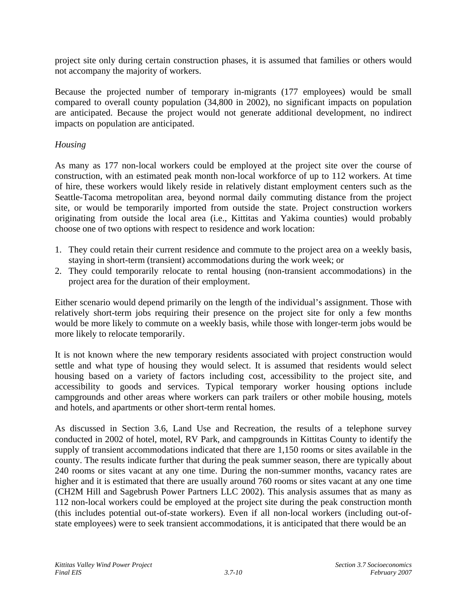project site only during certain construction phases, it is assumed that families or others would not accompany the majority of workers.

Because the projected number of temporary in-migrants (177 employees) would be small compared to overall county population (34,800 in 2002), no significant impacts on population are anticipated. Because the project would not generate additional development, no indirect impacts on population are anticipated.

# *Housing*

As many as 177 non-local workers could be employed at the project site over the course of construction, with an estimated peak month non-local workforce of up to 112 workers. At time of hire, these workers would likely reside in relatively distant employment centers such as the Seattle-Tacoma metropolitan area, beyond normal daily commuting distance from the project site, or would be temporarily imported from outside the state. Project construction workers originating from outside the local area (i.e., Kittitas and Yakima counties) would probably choose one of two options with respect to residence and work location:

- 1. They could retain their current residence and commute to the project area on a weekly basis, staying in short-term (transient) accommodations during the work week; or
- 2. They could temporarily relocate to rental housing (non-transient accommodations) in the project area for the duration of their employment.

Either scenario would depend primarily on the length of the individual's assignment. Those with relatively short-term jobs requiring their presence on the project site for only a few months would be more likely to commute on a weekly basis, while those with longer-term jobs would be more likely to relocate temporarily.

It is not known where the new temporary residents associated with project construction would settle and what type of housing they would select. It is assumed that residents would select housing based on a variety of factors including cost, accessibility to the project site, and accessibility to goods and services. Typical temporary worker housing options include campgrounds and other areas where workers can park trailers or other mobile housing, motels and hotels, and apartments or other short-term rental homes.

As discussed in Section 3.6, Land Use and Recreation, the results of a telephone survey conducted in 2002 of hotel, motel, RV Park, and campgrounds in Kittitas County to identify the supply of transient accommodations indicated that there are 1,150 rooms or sites available in the county. The results indicate further that during the peak summer season, there are typically about 240 rooms or sites vacant at any one time. During the non-summer months, vacancy rates are higher and it is estimated that there are usually around 760 rooms or sites vacant at any one time (CH2M Hill and Sagebrush Power Partners LLC 2002). This analysis assumes that as many as 112 non-local workers could be employed at the project site during the peak construction month (this includes potential out-of-state workers). Even if all non-local workers (including out-ofstate employees) were to seek transient accommodations, it is anticipated that there would be an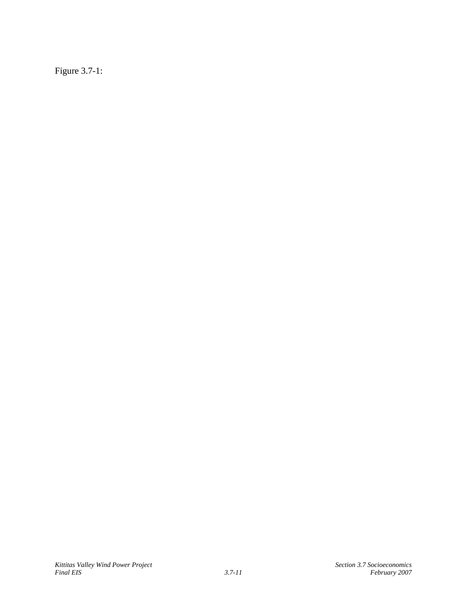Figure 3.7-1: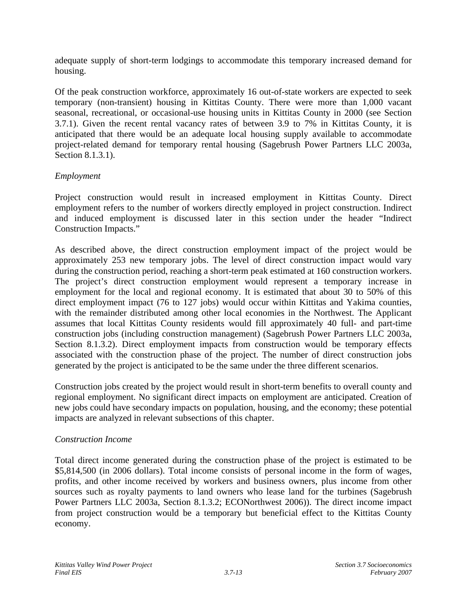adequate supply of short-term lodgings to accommodate this temporary increased demand for housing.

Of the peak construction workforce, approximately 16 out-of-state workers are expected to seek temporary (non-transient) housing in Kittitas County. There were more than 1,000 vacant seasonal, recreational, or occasional-use housing units in Kittitas County in 2000 (see Section 3.7.1). Given the recent rental vacancy rates of between 3.9 to 7% in Kittitas County, it is anticipated that there would be an adequate local housing supply available to accommodate project-related demand for temporary rental housing (Sagebrush Power Partners LLC 2003a, Section 8.1.3.1).

# *Employment*

Project construction would result in increased employment in Kittitas County. Direct employment refers to the number of workers directly employed in project construction. Indirect and induced employment is discussed later in this section under the header "Indirect Construction Impacts."

As described above, the direct construction employment impact of the project would be approximately 253 new temporary jobs. The level of direct construction impact would vary during the construction period, reaching a short-term peak estimated at 160 construction workers. The project's direct construction employment would represent a temporary increase in employment for the local and regional economy. It is estimated that about 30 to 50% of this direct employment impact (76 to 127 jobs) would occur within Kittitas and Yakima counties, with the remainder distributed among other local economies in the Northwest. The Applicant assumes that local Kittitas County residents would fill approximately 40 full- and part-time construction jobs (including construction management) (Sagebrush Power Partners LLC 2003a, Section 8.1.3.2). Direct employment impacts from construction would be temporary effects associated with the construction phase of the project. The number of direct construction jobs generated by the project is anticipated to be the same under the three different scenarios.

Construction jobs created by the project would result in short-term benefits to overall county and regional employment. No significant direct impacts on employment are anticipated. Creation of new jobs could have secondary impacts on population, housing, and the economy; these potential impacts are analyzed in relevant subsections of this chapter.

# *Construction Income*

Total direct income generated during the construction phase of the project is estimated to be \$5,814,500 (in 2006 dollars). Total income consists of personal income in the form of wages, profits, and other income received by workers and business owners, plus income from other sources such as royalty payments to land owners who lease land for the turbines (Sagebrush Power Partners LLC 2003a, Section 8.1.3.2; ECONorthwest 2006)). The direct income impact from project construction would be a temporary but beneficial effect to the Kittitas County economy.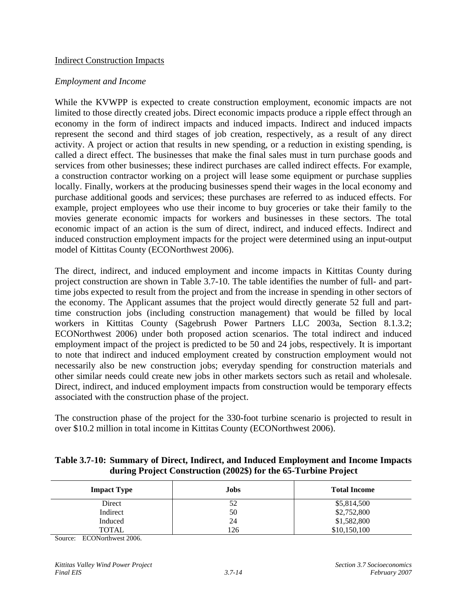### Indirect Construction Impacts

### *Employment and Income*

While the KVWPP is expected to create construction employment, economic impacts are not limited to those directly created jobs. Direct economic impacts produce a ripple effect through an economy in the form of indirect impacts and induced impacts. Indirect and induced impacts represent the second and third stages of job creation, respectively, as a result of any direct activity. A project or action that results in new spending, or a reduction in existing spending, is called a direct effect. The businesses that make the final sales must in turn purchase goods and services from other businesses; these indirect purchases are called indirect effects. For example, a construction contractor working on a project will lease some equipment or purchase supplies locally. Finally, workers at the producing businesses spend their wages in the local economy and purchase additional goods and services; these purchases are referred to as induced effects. For example, project employees who use their income to buy groceries or take their family to the movies generate economic impacts for workers and businesses in these sectors. The total economic impact of an action is the sum of direct, indirect, and induced effects. Indirect and induced construction employment impacts for the project were determined using an input-output model of Kittitas County (ECONorthwest 2006).

The direct, indirect, and induced employment and income impacts in Kittitas County during project construction are shown in Table 3.7-10. The table identifies the number of full- and parttime jobs expected to result from the project and from the increase in spending in other sectors of the economy. The Applicant assumes that the project would directly generate 52 full and parttime construction jobs (including construction management) that would be filled by local workers in Kittitas County (Sagebrush Power Partners LLC 2003a, Section 8.1.3.2; ECONorthwest 2006) under both proposed action scenarios. The total indirect and induced employment impact of the project is predicted to be 50 and 24 jobs, respectively. It is important to note that indirect and induced employment created by construction employment would not necessarily also be new construction jobs; everyday spending for construction materials and other similar needs could create new jobs in other markets sectors such as retail and wholesale. Direct, indirect, and induced employment impacts from construction would be temporary effects associated with the construction phase of the project.

The construction phase of the project for the 330-foot turbine scenario is projected to result in over \$10.2 million in total income in Kittitas County (ECONorthwest 2006).

### **Table 3.7-10: Summary of Direct, Indirect, and Induced Employment and Income Impacts during Project Construction (2002\$) for the 65-Turbine Project**

| <b>Impact Type</b> | Jobs | <b>Total Income</b> |
|--------------------|------|---------------------|
| Direct             | 52   | \$5,814,500         |
| Indirect           | 50   | \$2,752,800         |
| Induced            | 24   | \$1,582,800         |
| TOTAL              | 126  | \$10,150,100        |

Source: ECONorthwest 2006.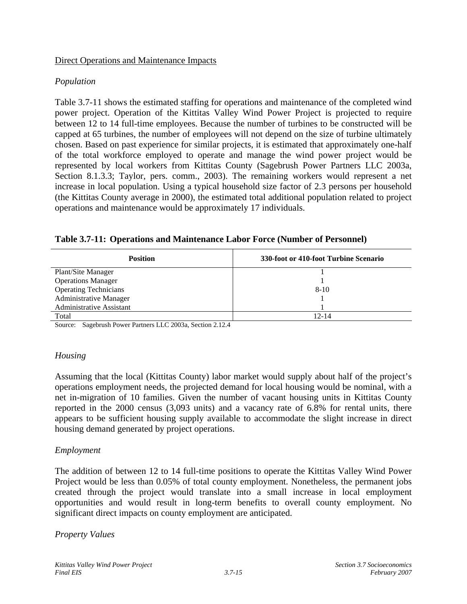### Direct Operations and Maintenance Impacts

# *Population*

Table 3.7-11 shows the estimated staffing for operations and maintenance of the completed wind power project. Operation of the Kittitas Valley Wind Power Project is projected to require between 12 to 14 full-time employees. Because the number of turbines to be constructed will be capped at 65 turbines, the number of employees will not depend on the size of turbine ultimately chosen. Based on past experience for similar projects, it is estimated that approximately one-half of the total workforce employed to operate and manage the wind power project would be represented by local workers from Kittitas County (Sagebrush Power Partners LLC 2003a, Section 8.1.3.3; Taylor, pers. comm., 2003). The remaining workers would represent a net increase in local population. Using a typical household size factor of 2.3 persons per household (the Kittitas County average in 2000), the estimated total additional population related to project operations and maintenance would be approximately 17 individuals.

| <b>Position</b>               | 330-foot or 410-foot Turbine Scenario |
|-------------------------------|---------------------------------------|
| Plant/Site Manager            |                                       |
| <b>Operations Manager</b>     |                                       |
| <b>Operating Technicians</b>  | $8 - 10$                              |
| <b>Administrative Manager</b> |                                       |
| Administrative Assistant      |                                       |
| Total                         | 12-14                                 |

|  | Table 3.7-11: Operations and Maintenance Labor Force (Number of Personnel) |  |  |  |  |
|--|----------------------------------------------------------------------------|--|--|--|--|
|--|----------------------------------------------------------------------------|--|--|--|--|

Source: Sagebrush Power Partners LLC 2003a, Section 2.12.4

# *Housing*

Assuming that the local (Kittitas County) labor market would supply about half of the project's operations employment needs, the projected demand for local housing would be nominal, with a net in-migration of 10 families. Given the number of vacant housing units in Kittitas County reported in the 2000 census (3,093 units) and a vacancy rate of 6.8% for rental units, there appears to be sufficient housing supply available to accommodate the slight increase in direct housing demand generated by project operations.

### *Employment*

The addition of between 12 to 14 full-time positions to operate the Kittitas Valley Wind Power Project would be less than 0.05% of total county employment. Nonetheless, the permanent jobs created through the project would translate into a small increase in local employment opportunities and would result in long-term benefits to overall county employment. No significant direct impacts on county employment are anticipated.

### *Property Values*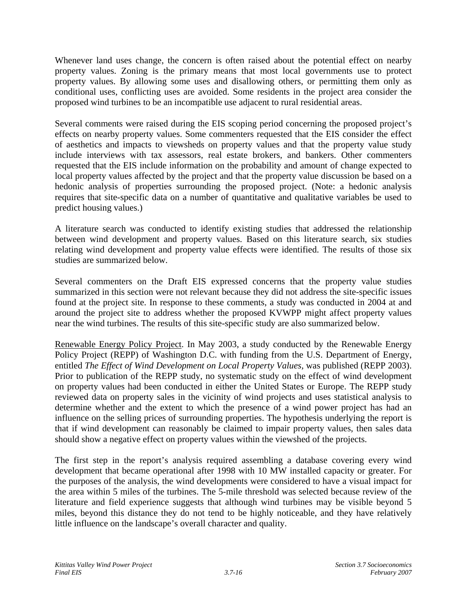Whenever land uses change, the concern is often raised about the potential effect on nearby property values. Zoning is the primary means that most local governments use to protect property values. By allowing some uses and disallowing others, or permitting them only as conditional uses, conflicting uses are avoided. Some residents in the project area consider the proposed wind turbines to be an incompatible use adjacent to rural residential areas.

Several comments were raised during the EIS scoping period concerning the proposed project's effects on nearby property values. Some commenters requested that the EIS consider the effect of aesthetics and impacts to viewsheds on property values and that the property value study include interviews with tax assessors, real estate brokers, and bankers. Other commenters requested that the EIS include information on the probability and amount of change expected to local property values affected by the project and that the property value discussion be based on a hedonic analysis of properties surrounding the proposed project. (Note: a hedonic analysis requires that site-specific data on a number of quantitative and qualitative variables be used to predict housing values.)

A literature search was conducted to identify existing studies that addressed the relationship between wind development and property values. Based on this literature search, six studies relating wind development and property value effects were identified. The results of those six studies are summarized below.

Several commenters on the Draft EIS expressed concerns that the property value studies summarized in this section were not relevant because they did not address the site-specific issues found at the project site. In response to these comments, a study was conducted in 2004 at and around the project site to address whether the proposed KVWPP might affect property values near the wind turbines. The results of this site-specific study are also summarized below.

Renewable Energy Policy Project. In May 2003, a study conducted by the Renewable Energy Policy Project (REPP) of Washington D.C. with funding from the U.S. Department of Energy, entitled *The Effect of Wind Development on Local Property Values,* was published (REPP 2003). Prior to publication of the REPP study, no systematic study on the effect of wind development on property values had been conducted in either the United States or Europe. The REPP study reviewed data on property sales in the vicinity of wind projects and uses statistical analysis to determine whether and the extent to which the presence of a wind power project has had an influence on the selling prices of surrounding properties. The hypothesis underlying the report is that if wind development can reasonably be claimed to impair property values, then sales data should show a negative effect on property values within the viewshed of the projects.

The first step in the report's analysis required assembling a database covering every wind development that became operational after 1998 with 10 MW installed capacity or greater. For the purposes of the analysis, the wind developments were considered to have a visual impact for the area within 5 miles of the turbines. The 5-mile threshold was selected because review of the literature and field experience suggests that although wind turbines may be visible beyond 5 miles, beyond this distance they do not tend to be highly noticeable, and they have relatively little influence on the landscape's overall character and quality.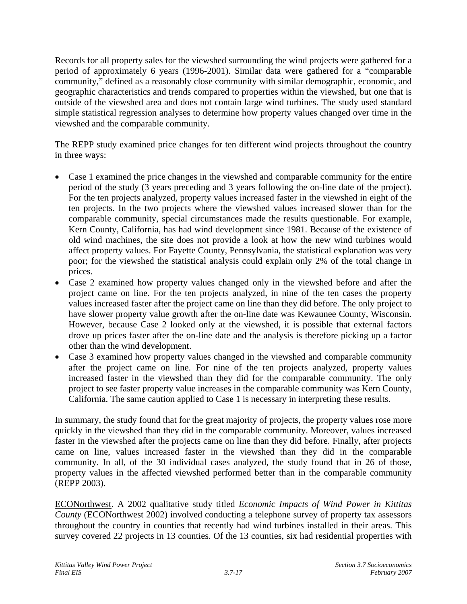Records for all property sales for the viewshed surrounding the wind projects were gathered for a period of approximately 6 years (1996-2001). Similar data were gathered for a "comparable community," defined as a reasonably close community with similar demographic, economic, and geographic characteristics and trends compared to properties within the viewshed, but one that is outside of the viewshed area and does not contain large wind turbines. The study used standard simple statistical regression analyses to determine how property values changed over time in the viewshed and the comparable community.

The REPP study examined price changes for ten different wind projects throughout the country in three ways:

- Case 1 examined the price changes in the viewshed and comparable community for the entire period of the study (3 years preceding and 3 years following the on-line date of the project). For the ten projects analyzed, property values increased faster in the viewshed in eight of the ten projects. In the two projects where the viewshed values increased slower than for the comparable community, special circumstances made the results questionable. For example, Kern County, California, has had wind development since 1981. Because of the existence of old wind machines, the site does not provide a look at how the new wind turbines would affect property values. For Fayette County, Pennsylvania, the statistical explanation was very poor; for the viewshed the statistical analysis could explain only 2% of the total change in prices.
- Case 2 examined how property values changed only in the viewshed before and after the project came on line. For the ten projects analyzed, in nine of the ten cases the property values increased faster after the project came on line than they did before. The only project to have slower property value growth after the on-line date was Kewaunee County, Wisconsin. However, because Case 2 looked only at the viewshed, it is possible that external factors drove up prices faster after the on-line date and the analysis is therefore picking up a factor other than the wind development.
- Case 3 examined how property values changed in the viewshed and comparable community after the project came on line. For nine of the ten projects analyzed, property values increased faster in the viewshed than they did for the comparable community. The only project to see faster property value increases in the comparable community was Kern County, California. The same caution applied to Case 1 is necessary in interpreting these results.

In summary, the study found that for the great majority of projects, the property values rose more quickly in the viewshed than they did in the comparable community. Moreover, values increased faster in the viewshed after the projects came on line than they did before. Finally, after projects came on line, values increased faster in the viewshed than they did in the comparable community. In all, of the 30 individual cases analyzed, the study found that in 26 of those, property values in the affected viewshed performed better than in the comparable community (REPP 2003).

ECONorthwest. A 2002 qualitative study titled *Economic Impacts of Wind Power in Kittitas County* (ECONorthwest 2002) involved conducting a telephone survey of property tax assessors throughout the country in counties that recently had wind turbines installed in their areas. This survey covered 22 projects in 13 counties. Of the 13 counties, six had residential properties with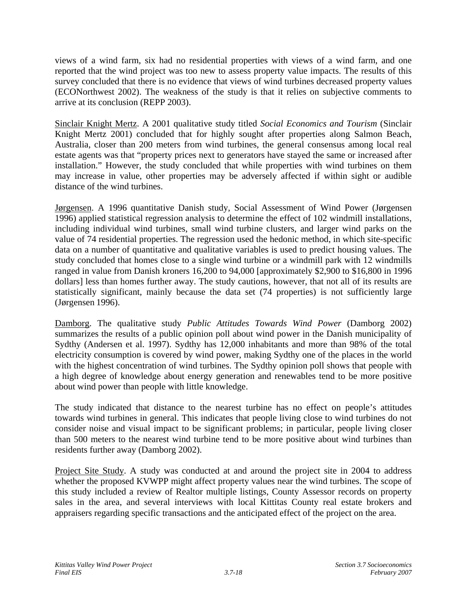views of a wind farm, six had no residential properties with views of a wind farm, and one reported that the wind project was too new to assess property value impacts. The results of this survey concluded that there is no evidence that views of wind turbines decreased property values (ECONorthwest 2002). The weakness of the study is that it relies on subjective comments to arrive at its conclusion (REPP 2003).

Sinclair Knight Mertz. A 2001 qualitative study titled *Social Economics and Tourism* (Sinclair Knight Mertz 2001) concluded that for highly sought after properties along Salmon Beach, Australia, closer than 200 meters from wind turbines, the general consensus among local real estate agents was that "property prices next to generators have stayed the same or increased after installation." However, the study concluded that while properties with wind turbines on them may increase in value, other properties may be adversely affected if within sight or audible distance of the wind turbines.

Jørgensen. A 1996 quantitative Danish study, Social Assessment of Wind Power (Jørgensen 1996) applied statistical regression analysis to determine the effect of 102 windmill installations, including individual wind turbines, small wind turbine clusters, and larger wind parks on the value of 74 residential properties. The regression used the hedonic method, in which site-specific data on a number of quantitative and qualitative variables is used to predict housing values. The study concluded that homes close to a single wind turbine or a windmill park with 12 windmills ranged in value from Danish kroners 16,200 to 94,000 [approximately \$2,900 to \$16,800 in 1996 dollars] less than homes further away. The study cautions, however, that not all of its results are statistically significant, mainly because the data set (74 properties) is not sufficiently large (Jørgensen 1996).

Damborg. The qualitative study *Public Attitudes Towards Wind Power* (Damborg 2002) summarizes the results of a public opinion poll about wind power in the Danish municipality of Sydthy (Andersen et al. 1997). Sydthy has 12,000 inhabitants and more than 98% of the total electricity consumption is covered by wind power, making Sydthy one of the places in the world with the highest concentration of wind turbines. The Sydthy opinion poll shows that people with a high degree of knowledge about energy generation and renewables tend to be more positive about wind power than people with little knowledge.

The study indicated that distance to the nearest turbine has no effect on people's attitudes towards wind turbines in general. This indicates that people living close to wind turbines do not consider noise and visual impact to be significant problems; in particular, people living closer than 500 meters to the nearest wind turbine tend to be more positive about wind turbines than residents further away (Damborg 2002).

Project Site Study. A study was conducted at and around the project site in 2004 to address whether the proposed KVWPP might affect property values near the wind turbines. The scope of this study included a review of Realtor multiple listings, County Assessor records on property sales in the area, and several interviews with local Kittitas County real estate brokers and appraisers regarding specific transactions and the anticipated effect of the project on the area.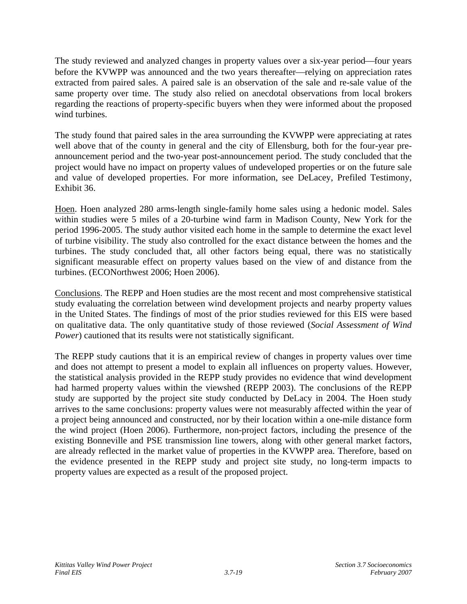The study reviewed and analyzed changes in property values over a six-year period—four years before the KVWPP was announced and the two years thereafter—relying on appreciation rates extracted from paired sales. A paired sale is an observation of the sale and re-sale value of the same property over time. The study also relied on anecdotal observations from local brokers regarding the reactions of property-specific buyers when they were informed about the proposed wind turbines.

The study found that paired sales in the area surrounding the KVWPP were appreciating at rates well above that of the county in general and the city of Ellensburg, both for the four-year preannouncement period and the two-year post-announcement period. The study concluded that the project would have no impact on property values of undeveloped properties or on the future sale and value of developed properties. For more information, see DeLacey, Prefiled Testimony, Exhibit 36.

Hoen. Hoen analyzed 280 arms-length single-family home sales using a hedonic model. Sales within studies were 5 miles of a 20-turbine wind farm in Madison County, New York for the period 1996-2005. The study author visited each home in the sample to determine the exact level of turbine visibility. The study also controlled for the exact distance between the homes and the turbines. The study concluded that, all other factors being equal, there was no statistically significant measurable effect on property values based on the view of and distance from the turbines. (ECONorthwest 2006; Hoen 2006).

Conclusions. The REPP and Hoen studies are the most recent and most comprehensive statistical study evaluating the correlation between wind development projects and nearby property values in the United States. The findings of most of the prior studies reviewed for this EIS were based on qualitative data. The only quantitative study of those reviewed (*Social Assessment of Wind Power*) cautioned that its results were not statistically significant.

The REPP study cautions that it is an empirical review of changes in property values over time and does not attempt to present a model to explain all influences on property values. However, the statistical analysis provided in the REPP study provides no evidence that wind development had harmed property values within the viewshed (REPP 2003). The conclusions of the REPP study are supported by the project site study conducted by DeLacy in 2004. The Hoen study arrives to the same conclusions: property values were not measurably affected within the year of a project being announced and constructed, nor by their location within a one-mile distance form the wind project (Hoen 2006). Furthermore, non-project factors, including the presence of the existing Bonneville and PSE transmission line towers, along with other general market factors, are already reflected in the market value of properties in the KVWPP area. Therefore, based on the evidence presented in the REPP study and project site study, no long-term impacts to property values are expected as a result of the proposed project.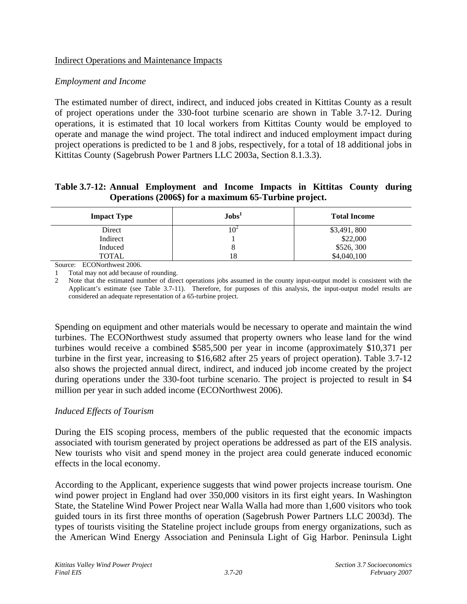## Indirect Operations and Maintenance Impacts

### *Employment and Income*

The estimated number of direct, indirect, and induced jobs created in Kittitas County as a result of project operations under the 330-foot turbine scenario are shown in Table 3.7-12. During operations, it is estimated that 10 local workers from Kittitas County would be employed to operate and manage the wind project. The total indirect and induced employment impact during project operations is predicted to be 1 and 8 jobs, respectively, for a total of 18 additional jobs in Kittitas County (Sagebrush Power Partners LLC 2003a, Section 8.1.3.3).

### **Table 3.7-12: Annual Employment and Income Impacts in Kittitas County during Operations (2006\$) for a maximum 65-Turbine project.**

| <b>Impact Type</b> | Jobs'  | <b>Total Income</b> |
|--------------------|--------|---------------------|
| Direct             | $10^2$ | \$3,491,800         |
| Indirect           |        | \$22,000            |
| Induced            |        | \$526,300           |
| <b>TOTAL</b>       | 18     | \$4,040,100         |

Source: ECONorthwest 2006.

1 Total may not add because of rounding.

2 Note that the estimated number of direct operations jobs assumed in the county input-output model is consistent with the Applicant's estimate (see Table 3.7-11). Therefore, for purposes of this analysis, the input-output model results are considered an adequate representation of a 65-turbine project.

Spending on equipment and other materials would be necessary to operate and maintain the wind turbines. The ECONorthwest study assumed that property owners who lease land for the wind turbines would receive a combined \$585,500 per year in income (approximately \$10,371 per turbine in the first year, increasing to \$16,682 after 25 years of project operation). Table 3.7-12 also shows the projected annual direct, indirect, and induced job income created by the project during operations under the 330-foot turbine scenario. The project is projected to result in \$4 million per year in such added income (ECONorthwest 2006).

# *Induced Effects of Tourism*

During the EIS scoping process, members of the public requested that the economic impacts associated with tourism generated by project operations be addressed as part of the EIS analysis. New tourists who visit and spend money in the project area could generate induced economic effects in the local economy.

According to the Applicant, experience suggests that wind power projects increase tourism. One wind power project in England had over 350,000 visitors in its first eight years. In Washington State, the Stateline Wind Power Project near Walla Walla had more than 1,600 visitors who took guided tours in its first three months of operation (Sagebrush Power Partners LLC 2003d). The types of tourists visiting the Stateline project include groups from energy organizations, such as the American Wind Energy Association and Peninsula Light of Gig Harbor. Peninsula Light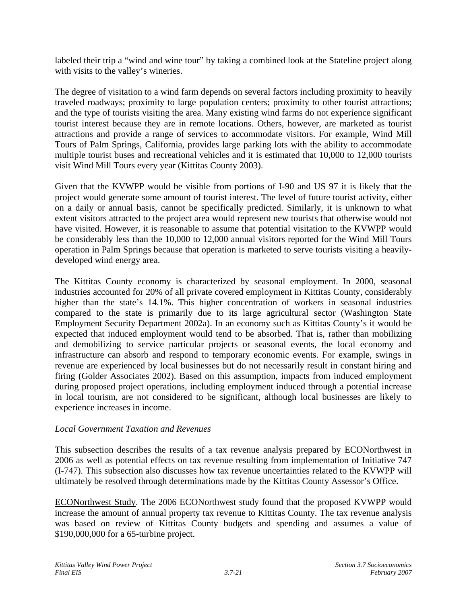labeled their trip a "wind and wine tour" by taking a combined look at the Stateline project along with visits to the valley's wineries.

The degree of visitation to a wind farm depends on several factors including proximity to heavily traveled roadways; proximity to large population centers; proximity to other tourist attractions; and the type of tourists visiting the area. Many existing wind farms do not experience significant tourist interest because they are in remote locations. Others, however, are marketed as tourist attractions and provide a range of services to accommodate visitors. For example, Wind Mill Tours of Palm Springs, California, provides large parking lots with the ability to accommodate multiple tourist buses and recreational vehicles and it is estimated that 10,000 to 12,000 tourists visit Wind Mill Tours every year (Kittitas County 2003).

Given that the KVWPP would be visible from portions of I-90 and US 97 it is likely that the project would generate some amount of tourist interest. The level of future tourist activity, either on a daily or annual basis, cannot be specifically predicted. Similarly, it is unknown to what extent visitors attracted to the project area would represent new tourists that otherwise would not have visited. However, it is reasonable to assume that potential visitation to the KVWPP would be considerably less than the 10,000 to 12,000 annual visitors reported for the Wind Mill Tours operation in Palm Springs because that operation is marketed to serve tourists visiting a heavilydeveloped wind energy area.

The Kittitas County economy is characterized by seasonal employment. In 2000, seasonal industries accounted for 20% of all private covered employment in Kittitas County, considerably higher than the state's 14.1%. This higher concentration of workers in seasonal industries compared to the state is primarily due to its large agricultural sector (Washington State Employment Security Department 2002a). In an economy such as Kittitas County's it would be expected that induced employment would tend to be absorbed. That is, rather than mobilizing and demobilizing to service particular projects or seasonal events, the local economy and infrastructure can absorb and respond to temporary economic events. For example, swings in revenue are experienced by local businesses but do not necessarily result in constant hiring and firing (Golder Associates 2002). Based on this assumption, impacts from induced employment during proposed project operations, including employment induced through a potential increase in local tourism, are not considered to be significant, although local businesses are likely to experience increases in income.

# *Local Government Taxation and Revenues*

This subsection describes the results of a tax revenue analysis prepared by ECONorthwest in 2006 as well as potential effects on tax revenue resulting from implementation of Initiative 747 (I-747). This subsection also discusses how tax revenue uncertainties related to the KVWPP will ultimately be resolved through determinations made by the Kittitas County Assessor's Office.

ECONorthwest Study. The 2006 ECONorthwest study found that the proposed KVWPP would increase the amount of annual property tax revenue to Kittitas County. The tax revenue analysis was based on review of Kittitas County budgets and spending and assumes a value of \$190,000,000 for a 65-turbine project.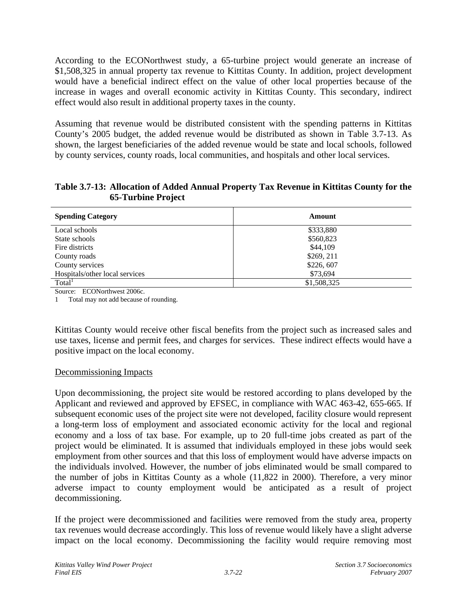According to the ECONorthwest study, a 65-turbine project would generate an increase of \$1,508,325 in annual property tax revenue to Kittitas County. In addition, project development would have a beneficial indirect effect on the value of other local properties because of the increase in wages and overall economic activity in Kittitas County. This secondary, indirect effect would also result in additional property taxes in the county.

Assuming that revenue would be distributed consistent with the spending patterns in Kittitas County's 2005 budget, the added revenue would be distributed as shown in Table 3.7-13. As shown, the largest beneficiaries of the added revenue would be state and local schools, followed by county services, county roads, local communities, and hospitals and other local services.

## **Table 3.7-13: Allocation of Added Annual Property Tax Revenue in Kittitas County for the 65-Turbine Project**

| <b>Spending Category</b>       | Amount      |
|--------------------------------|-------------|
| Local schools                  | \$333,880   |
| State schools                  | \$560,823   |
| Fire districts                 | \$44,109    |
| County roads                   | \$269, 211  |
| County services                | \$226,607   |
| Hospitals/other local services | \$73.694    |
| Total <sup>1</sup>             | \$1,508,325 |

Source: ECONorthwest 2006c.

1 Total may not add because of rounding.

Kittitas County would receive other fiscal benefits from the project such as increased sales and use taxes, license and permit fees, and charges for services. These indirect effects would have a positive impact on the local economy.

# Decommissioning Impacts

Upon decommissioning, the project site would be restored according to plans developed by the Applicant and reviewed and approved by EFSEC, in compliance with WAC 463-42, 655-665. If subsequent economic uses of the project site were not developed, facility closure would represent a long-term loss of employment and associated economic activity for the local and regional economy and a loss of tax base. For example, up to 20 full-time jobs created as part of the project would be eliminated. It is assumed that individuals employed in these jobs would seek employment from other sources and that this loss of employment would have adverse impacts on the individuals involved. However, the number of jobs eliminated would be small compared to the number of jobs in Kittitas County as a whole (11,822 in 2000). Therefore, a very minor adverse impact to county employment would be anticipated as a result of project decommissioning.

If the project were decommissioned and facilities were removed from the study area, property tax revenues would decrease accordingly. This loss of revenue would likely have a slight adverse impact on the local economy. Decommissioning the facility would require removing most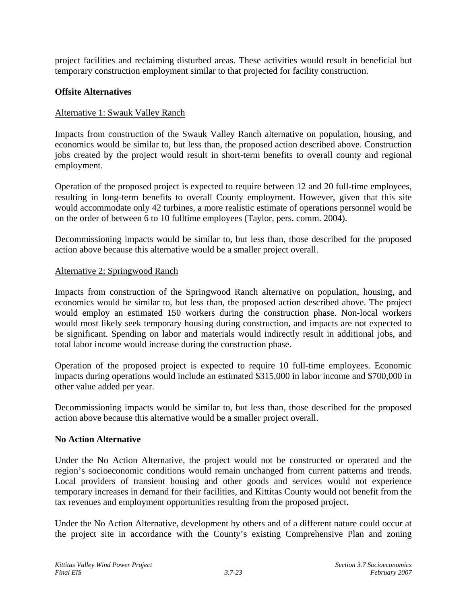project facilities and reclaiming disturbed areas. These activities would result in beneficial but temporary construction employment similar to that projected for facility construction.

## **Offsite Alternatives**

## Alternative 1: Swauk Valley Ranch

Impacts from construction of the Swauk Valley Ranch alternative on population, housing, and economics would be similar to, but less than, the proposed action described above. Construction jobs created by the project would result in short-term benefits to overall county and regional employment.

Operation of the proposed project is expected to require between 12 and 20 full-time employees, resulting in long-term benefits to overall County employment. However, given that this site would accommodate only 42 turbines, a more realistic estimate of operations personnel would be on the order of between 6 to 10 fulltime employees (Taylor, pers. comm. 2004).

Decommissioning impacts would be similar to, but less than, those described for the proposed action above because this alternative would be a smaller project overall.

### Alternative 2: Springwood Ranch

Impacts from construction of the Springwood Ranch alternative on population, housing, and economics would be similar to, but less than, the proposed action described above. The project would employ an estimated 150 workers during the construction phase. Non-local workers would most likely seek temporary housing during construction, and impacts are not expected to be significant. Spending on labor and materials would indirectly result in additional jobs, and total labor income would increase during the construction phase.

Operation of the proposed project is expected to require 10 full-time employees. Economic impacts during operations would include an estimated \$315,000 in labor income and \$700,000 in other value added per year.

Decommissioning impacts would be similar to, but less than, those described for the proposed action above because this alternative would be a smaller project overall.

### **No Action Alternative**

Under the No Action Alternative, the project would not be constructed or operated and the region's socioeconomic conditions would remain unchanged from current patterns and trends. Local providers of transient housing and other goods and services would not experience temporary increases in demand for their facilities, and Kittitas County would not benefit from the tax revenues and employment opportunities resulting from the proposed project.

Under the No Action Alternative, development by others and of a different nature could occur at the project site in accordance with the County's existing Comprehensive Plan and zoning